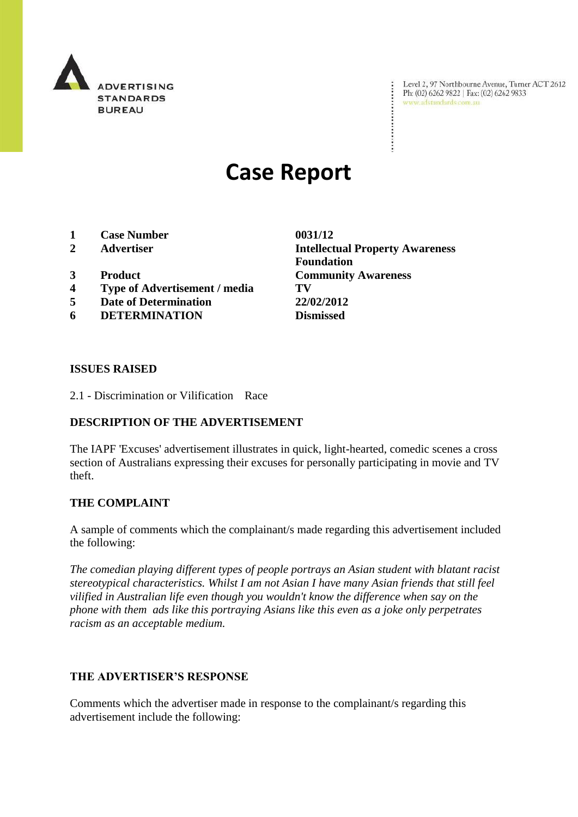

Level 2, 97 Northbourne Avenue, Turner ACT 2612<br>Ph: (02) 6262 9822 | Fax: (02) 6262 9833<br>www.adstandards.com.au www.adstandards.com.au

# **Case Report**

- **1 Case Number 0031/12**
- 
- 
- **4 Type of Advertisement / media TV**
- **5 Date of Determination 22/02/2012**
- **6 DETERMINATION Dismissed**

**2 Advertiser Intellectual Property Awareness Foundation 3 Product Community Awareness**

 $\ddot{\cdot}$ 

#### **ISSUES RAISED**

2.1 - Discrimination or Vilification Race

## **DESCRIPTION OF THE ADVERTISEMENT**

The IAPF 'Excuses' advertisement illustrates in quick, light-hearted, comedic scenes a cross section of Australians expressing their excuses for personally participating in movie and TV theft.

### **THE COMPLAINT**

A sample of comments which the complainant/s made regarding this advertisement included the following:

*The comedian playing different types of people portrays an Asian student with blatant racist stereotypical characteristics. Whilst I am not Asian I have many Asian friends that still feel vilified in Australian life even though you wouldn't know the difference when say on the phone with them ads like this portraying Asians like this even as a joke only perpetrates racism as an acceptable medium.*

### **THE ADVERTISER'S RESPONSE**

Comments which the advertiser made in response to the complainant/s regarding this advertisement include the following: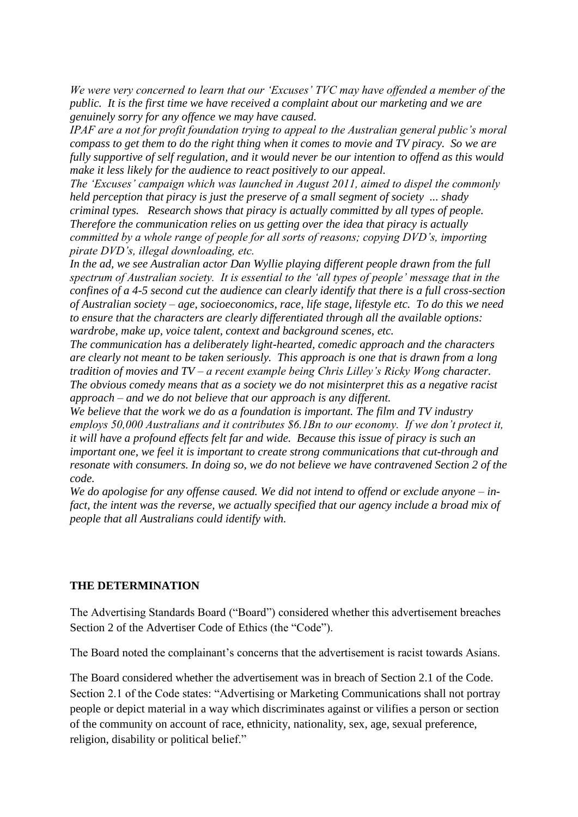*We were very concerned to learn that our 'Excuses' TVC may have offended a member of the public. It is the first time we have received a complaint about our marketing and we are genuinely sorry for any offence we may have caused.* 

*IPAF are a not for profit foundation trying to appeal to the Australian general public's moral compass to get them to do the right thing when it comes to movie and TV piracy. So we are fully supportive of self regulation, and it would never be our intention to offend as this would make it less likely for the audience to react positively to our appeal.*

*The 'Excuses' campaign which was launched in August 2011, aimed to dispel the commonly held perception that piracy is just the preserve of a small segment of society ... shady criminal types. Research shows that piracy is actually committed by all types of people. Therefore the communication relies on us getting over the idea that piracy is actually committed by a whole range of people for all sorts of reasons; copying DVD's, importing pirate DVD's, illegal downloading, etc.*

*In the ad, we see Australian actor Dan Wyllie playing different people drawn from the full spectrum of Australian society. It is essential to the 'all types of people' message that in the confines of a 4-5 second cut the audience can clearly identify that there is a full cross-section of Australian society – age, socioeconomics, race, life stage, lifestyle etc. To do this we need to ensure that the characters are clearly differentiated through all the available options: wardrobe, make up, voice talent, context and background scenes, etc.*

*The communication has a deliberately light-hearted, comedic approach and the characters are clearly not meant to be taken seriously. This approach is one that is drawn from a long tradition of movies and TV – a recent example being Chris Lilley's Ricky Wong character. The obvious comedy means that as a society we do not misinterpret this as a negative racist approach – and we do not believe that our approach is any different.*

*We believe that the work we do as a foundation is important. The film and TV industry employs 50,000 Australians and it contributes \$6.1Bn to our economy. If we don't protect it, it will have a profound effects felt far and wide. Because this issue of piracy is such an important one, we feel it is important to create strong communications that cut-through and resonate with consumers. In doing so, we do not believe we have contravened Section 2 of the code.* 

*We do apologise for any offense caused. We did not intend to offend or exclude anyone – infact, the intent was the reverse, we actually specified that our agency include a broad mix of people that all Australians could identify with.* 

### **THE DETERMINATION**

The Advertising Standards Board ("Board") considered whether this advertisement breaches Section 2 of the Advertiser Code of Ethics (the "Code").

The Board noted the complainant's concerns that the advertisement is racist towards Asians.

The Board considered whether the advertisement was in breach of Section 2.1 of the Code. Section 2.1 of the Code states: "Advertising or Marketing Communications shall not portray people or depict material in a way which discriminates against or vilifies a person or section of the community on account of race, ethnicity, nationality, sex, age, sexual preference, religion, disability or political belief."